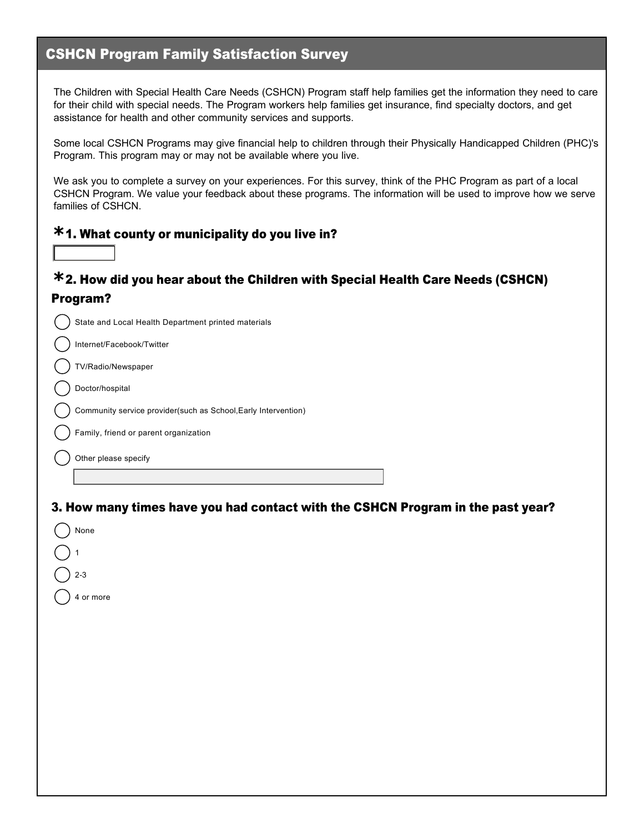## CSHCN Program Family Satisfaction Survey

The Children with Special Health Care Needs (CSHCN) Program staff help families get the information they need to care for their child with special needs. The Program workers help families get insurance, find specialty doctors, and get assistance for health and other community services and supports.

Some local CSHCN Programs may give financial help to children through their Physically Handicapped Children (PHC)'s Program. This program may or may not be available where you live.

We ask you to complete a survey on your experiences. For this survey, think of the PHC Program as part of a local CSHCN Program. We value your feedback about these programs. The information will be used to improve how we serve families of CSHCN.

## 1. What county or municipality do you live in? **\***

6

None

 $2 - 3$ 

4 or more

 $)$  1

## 2. How did you hear about the Children with Special Health Care Needs (CSHCN) **\*** Program?

| State and Local Health Department printed materials            |
|----------------------------------------------------------------|
| Internet/Facebook/Twitter                                      |
| TV/Radio/Newspaper                                             |
| Doctor/hospital                                                |
| Community service provider(such as School, Early Intervention) |
| Family, friend or parent organization                          |
| Other please specify                                           |
|                                                                |
|                                                                |

3. How many times have you had contact with the CSHCN Program in the past year?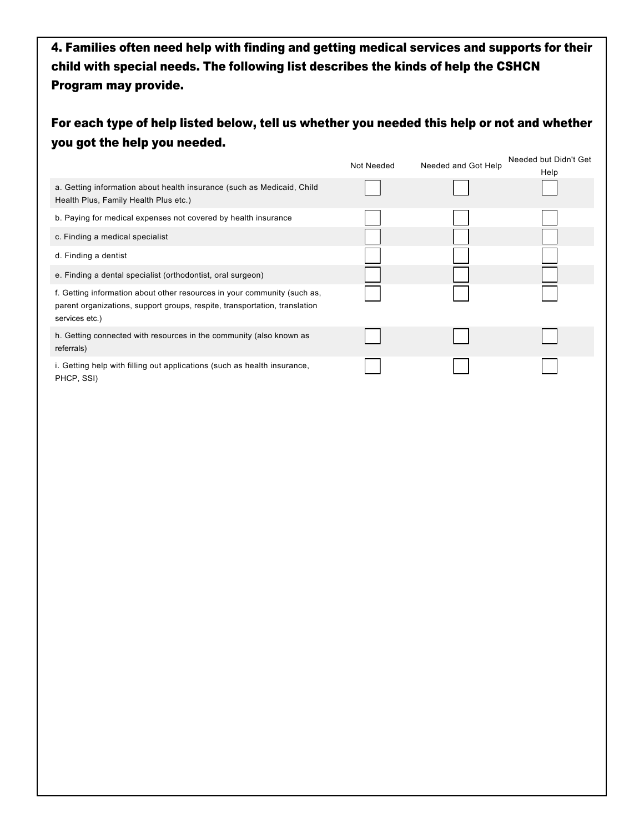4. Families often need help with finding and getting medical services and supports for their child with special needs. The following list describes the kinds of help the CSHCN Program may provide.

| For each type of help listed below, tell us whether you needed this help or not and whether |  |
|---------------------------------------------------------------------------------------------|--|
| you got the help you needed.                                                                |  |

|                                                                                                                                                                          | Not Needed | Needed and Got Help | Needed but Didn't Get<br>Help |
|--------------------------------------------------------------------------------------------------------------------------------------------------------------------------|------------|---------------------|-------------------------------|
| a. Getting information about health insurance (such as Medicaid, Child<br>Health Plus, Family Health Plus etc.)                                                          |            |                     |                               |
| b. Paying for medical expenses not covered by health insurance                                                                                                           |            |                     |                               |
| c. Finding a medical specialist                                                                                                                                          |            |                     |                               |
| d. Finding a dentist                                                                                                                                                     |            |                     |                               |
| e. Finding a dental specialist (orthodontist, oral surgeon)                                                                                                              |            |                     |                               |
| f. Getting information about other resources in your community (such as,<br>parent organizations, support groups, respite, transportation, translation<br>services etc.) |            |                     |                               |
| h. Getting connected with resources in the community (also known as<br>referrals)                                                                                        |            |                     |                               |
| i. Getting help with filling out applications (such as health insurance,<br>PHCP, SSI)                                                                                   |            |                     |                               |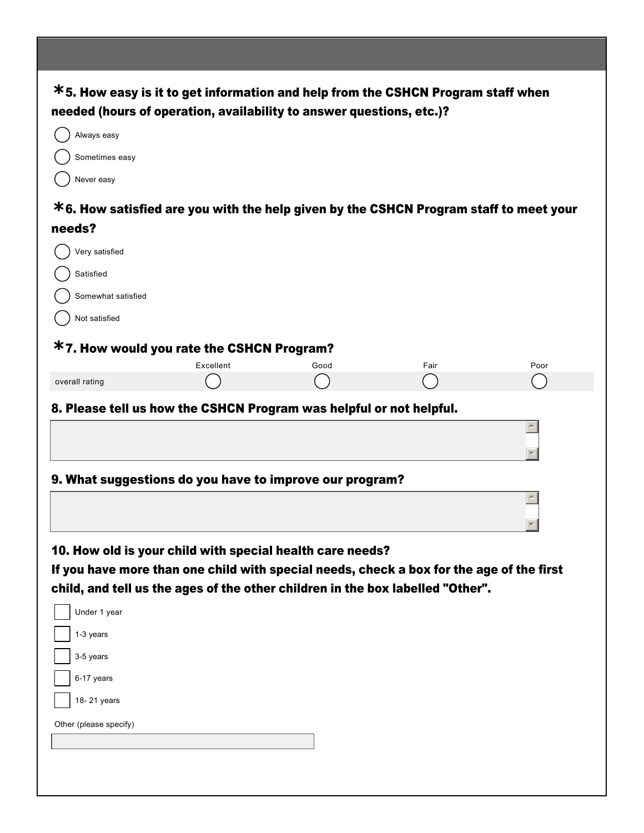| needed (hours of operation, availability to answer questions, etc.)?<br>Always easy<br>Sometimes easy<br>Never easy<br>Very satisfied<br>Satisfied<br>Somewhat satisfied<br>Not satisfied<br>Excellent<br>Poor<br>Good<br>Fair<br>Under 1 year<br>1-3 years<br>3-5 years<br>6-17 years<br>18-21 years                                                                                                                                                                     |        | $*$ 5. How easy is it to get information and help from the CSHCN Program staff when |  |  |
|---------------------------------------------------------------------------------------------------------------------------------------------------------------------------------------------------------------------------------------------------------------------------------------------------------------------------------------------------------------------------------------------------------------------------------------------------------------------------|--------|-------------------------------------------------------------------------------------|--|--|
|                                                                                                                                                                                                                                                                                                                                                                                                                                                                           |        |                                                                                     |  |  |
|                                                                                                                                                                                                                                                                                                                                                                                                                                                                           |        |                                                                                     |  |  |
|                                                                                                                                                                                                                                                                                                                                                                                                                                                                           |        |                                                                                     |  |  |
| $*$ 6. How satisfied are you with the help given by the CSHCN Program staff to meet your                                                                                                                                                                                                                                                                                                                                                                                  |        |                                                                                     |  |  |
|                                                                                                                                                                                                                                                                                                                                                                                                                                                                           |        |                                                                                     |  |  |
|                                                                                                                                                                                                                                                                                                                                                                                                                                                                           | needs? |                                                                                     |  |  |
|                                                                                                                                                                                                                                                                                                                                                                                                                                                                           |        |                                                                                     |  |  |
|                                                                                                                                                                                                                                                                                                                                                                                                                                                                           |        |                                                                                     |  |  |
|                                                                                                                                                                                                                                                                                                                                                                                                                                                                           |        |                                                                                     |  |  |
| <b>*7. How would you rate the CSHCN Program?</b><br>overall rating<br>8. Please tell us how the CSHCN Program was helpful or not helpful.<br>9. What suggestions do you have to improve our program?<br>10. How old is your child with special health care needs?<br>If you have more than one child with special needs, check a box for the age of the first<br>child, and tell us the ages of the other children in the box labelled "Other".<br>Other (please specify) |        |                                                                                     |  |  |
|                                                                                                                                                                                                                                                                                                                                                                                                                                                                           |        |                                                                                     |  |  |
|                                                                                                                                                                                                                                                                                                                                                                                                                                                                           |        |                                                                                     |  |  |
|                                                                                                                                                                                                                                                                                                                                                                                                                                                                           |        |                                                                                     |  |  |
|                                                                                                                                                                                                                                                                                                                                                                                                                                                                           |        |                                                                                     |  |  |
|                                                                                                                                                                                                                                                                                                                                                                                                                                                                           |        |                                                                                     |  |  |
|                                                                                                                                                                                                                                                                                                                                                                                                                                                                           |        |                                                                                     |  |  |
|                                                                                                                                                                                                                                                                                                                                                                                                                                                                           |        |                                                                                     |  |  |
|                                                                                                                                                                                                                                                                                                                                                                                                                                                                           |        |                                                                                     |  |  |
|                                                                                                                                                                                                                                                                                                                                                                                                                                                                           |        |                                                                                     |  |  |
|                                                                                                                                                                                                                                                                                                                                                                                                                                                                           |        |                                                                                     |  |  |
|                                                                                                                                                                                                                                                                                                                                                                                                                                                                           |        |                                                                                     |  |  |
|                                                                                                                                                                                                                                                                                                                                                                                                                                                                           |        |                                                                                     |  |  |
|                                                                                                                                                                                                                                                                                                                                                                                                                                                                           |        |                                                                                     |  |  |
|                                                                                                                                                                                                                                                                                                                                                                                                                                                                           |        |                                                                                     |  |  |
|                                                                                                                                                                                                                                                                                                                                                                                                                                                                           |        |                                                                                     |  |  |
|                                                                                                                                                                                                                                                                                                                                                                                                                                                                           |        |                                                                                     |  |  |
|                                                                                                                                                                                                                                                                                                                                                                                                                                                                           |        |                                                                                     |  |  |